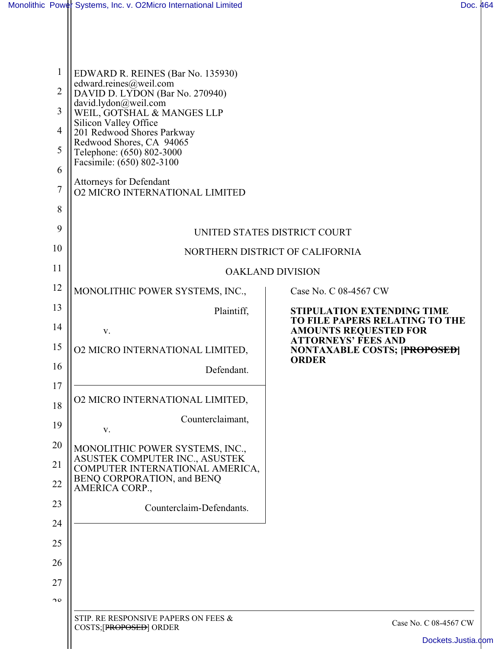|                       | Monolithic Power Systems, Inc. v. O2Micro International Limited   |                                                                                              | Doc. 464 |
|-----------------------|-------------------------------------------------------------------|----------------------------------------------------------------------------------------------|----------|
|                       |                                                                   |                                                                                              |          |
|                       | EDWARD R. REINES (Bar No. 135930)<br>edward.reines@weil.com       |                                                                                              |          |
| $\overline{2}$        | DAVID D. LYDON (Bar No. 270940)                                   |                                                                                              |          |
| 3                     | david.lydon@weil.com<br>WEIL, GOTSHAL & MANGES LLP                |                                                                                              |          |
| 4                     | Silicon Valley Office<br>201 Redwood Shores Parkway               |                                                                                              |          |
| 5                     | Redwood Shores, CA 94065<br>Telephone: (650) 802-3000             |                                                                                              |          |
| 6                     | Facsimile: (650) 802-3100                                         |                                                                                              |          |
| $\tau$                | Attorneys for Defendant<br><b>02 MICRO INTERNATIONAL LIMITED</b>  |                                                                                              |          |
| 8                     |                                                                   |                                                                                              |          |
| 9                     |                                                                   | UNITED STATES DISTRICT COURT                                                                 |          |
| 10                    | NORTHERN DISTRICT OF CALIFORNIA                                   |                                                                                              |          |
| 11                    |                                                                   | <b>OAKLAND DIVISION</b>                                                                      |          |
| 12                    | MONOLITHIC POWER SYSTEMS, INC.,                                   | Case No. C 08-4567 CW                                                                        |          |
| 13                    | Plaintiff,                                                        | <b>STIPULATION EXTENDING TIME</b>                                                            |          |
| 14                    | V.                                                                | TO FILE PAPERS RELATING TO THE<br><b>AMOUNTS REQUESTED FOR</b><br><b>ATTORNEYS' FEES AND</b> |          |
| 15                    | <b>02 MICRO INTERNATIONAL LIMITED,</b>                            | <b>NONTAXABLE COSTS; [PROPOSED]</b><br><b>ORDER</b>                                          |          |
| 16                    | Defendant.                                                        |                                                                                              |          |
| 17                    | <b>02 MICRO INTERNATIONAL LIMITED,</b>                            |                                                                                              |          |
| 18                    | Counterclaimant,                                                  |                                                                                              |          |
| 19                    | V.                                                                |                                                                                              |          |
| 20                    | MONOLITHIC POWER SYSTEMS, INC.,<br>ASUSTEK COMPUTER INC., ASUSTEK |                                                                                              |          |
| 21                    | COMPUTER INTERNATIONAL AMERICA,<br>BENQ CORPORATION, and BENQ     |                                                                                              |          |
| 22                    | AMERICA CORP.,                                                    |                                                                                              |          |
| 23                    | Counterclaim-Defendants.                                          |                                                                                              |          |
| 24                    |                                                                   |                                                                                              |          |
| 25                    |                                                                   |                                                                                              |          |
| 26                    |                                                                   |                                                                                              |          |
| 27                    |                                                                   |                                                                                              |          |
| $\mathcal{D}^{\circ}$ |                                                                   |                                                                                              |          |
|                       | STIP. RE RESPONSIVE PAPERS ON FEES &<br>COSTS;[PROPOSED] ORDER    | Case No. C 08-4567 CW                                                                        |          |

 $\mathsf{I}$ 

[Dockets.Justia.com](http://dockets.justia.com/)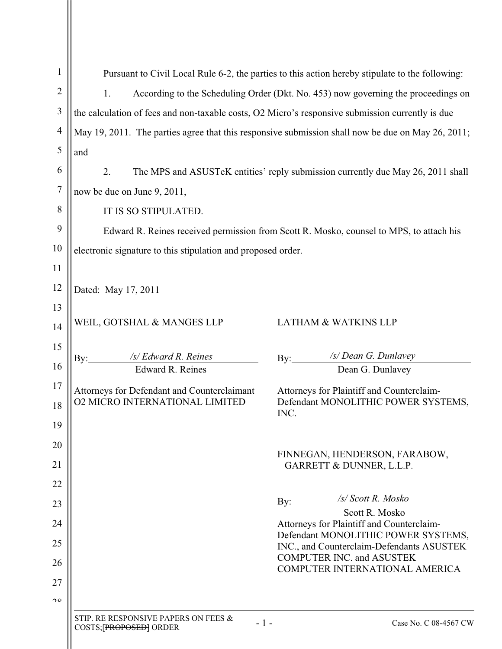| $\mathbf{1}$   |                                                                                                  | Pursuant to Civil Local Rule 6-2, the parties to this action hereby stipulate to the following:   |
|----------------|--------------------------------------------------------------------------------------------------|---------------------------------------------------------------------------------------------------|
| $\overline{2}$ | 1.                                                                                               | According to the Scheduling Order (Dkt. No. 453) now governing the proceedings on                 |
| 3              | the calculation of fees and non-taxable costs, O2 Micro's responsive submission currently is due |                                                                                                   |
| $\overline{4}$ |                                                                                                  | May 19, 2011. The parties agree that this responsive submission shall now be due on May 26, 2011; |
| 5              | and                                                                                              |                                                                                                   |
| 6              | 2.                                                                                               | The MPS and ASUSTeK entities' reply submission currently due May 26, 2011 shall                   |
| 7              | now be due on June 9, 2011,                                                                      |                                                                                                   |
| 8              | IT IS SO STIPULATED.                                                                             |                                                                                                   |
| 9              |                                                                                                  | Edward R. Reines received permission from Scott R. Mosko, counsel to MPS, to attach his           |
| 10             | electronic signature to this stipulation and proposed order.                                     |                                                                                                   |
| 11             |                                                                                                  |                                                                                                   |
| 12             | Dated: May 17, 2011                                                                              |                                                                                                   |
| 13             |                                                                                                  |                                                                                                   |
| 14             | WEIL, GOTSHAL & MANGES LLP                                                                       | <b>LATHAM &amp; WATKINS LLP</b>                                                                   |
| 15             |                                                                                                  | /s/ Dean G. Dunlavey                                                                              |
| 16             | /s/ Edward R. Reines<br>$\rm By:$<br>Edward R. Reines                                            | Dean G. Dunlavey                                                                                  |
| 17             |                                                                                                  |                                                                                                   |
| 18             | Attorneys for Defendant and Counterclaimant<br><b>02 MICRO INTERNATIONAL LIMITED</b>             | Attorneys for Plaintiff and Counterclaim-<br>Defendant MONOLITHIC POWER SYSTEMS,                  |
| 19             |                                                                                                  | INC.                                                                                              |
| 20             |                                                                                                  |                                                                                                   |
| 21             |                                                                                                  | FINNEGAN, HENDERSON, FARABOW,<br>GARRETT & DUNNER, L.L.P.                                         |
| 22             |                                                                                                  |                                                                                                   |
| 23             |                                                                                                  | /s/ Scott R. Mosko<br>$\rm\,By:$                                                                  |
| 24             |                                                                                                  | Scott R. Mosko<br>Attorneys for Plaintiff and Counterclaim-                                       |
| 25             |                                                                                                  | Defendant MONOLITHIC POWER SYSTEMS,                                                               |
| 26             |                                                                                                  | INC., and Counterclaim-Defendants ASUSTEK<br><b>COMPUTER INC. and ASUSTEK</b>                     |
| 27             |                                                                                                  | COMPUTER INTERNATIONAL AMERICA                                                                    |
| $\mathcal{D}$  |                                                                                                  |                                                                                                   |
|                | STIP. RE RESPONSIVE PAPERS ON FEES &<br>$-1-$                                                    | Case No. C 08-4567 CW                                                                             |
|                | COSTS; PROPOSED   ORDER                                                                          |                                                                                                   |
|                |                                                                                                  |                                                                                                   |